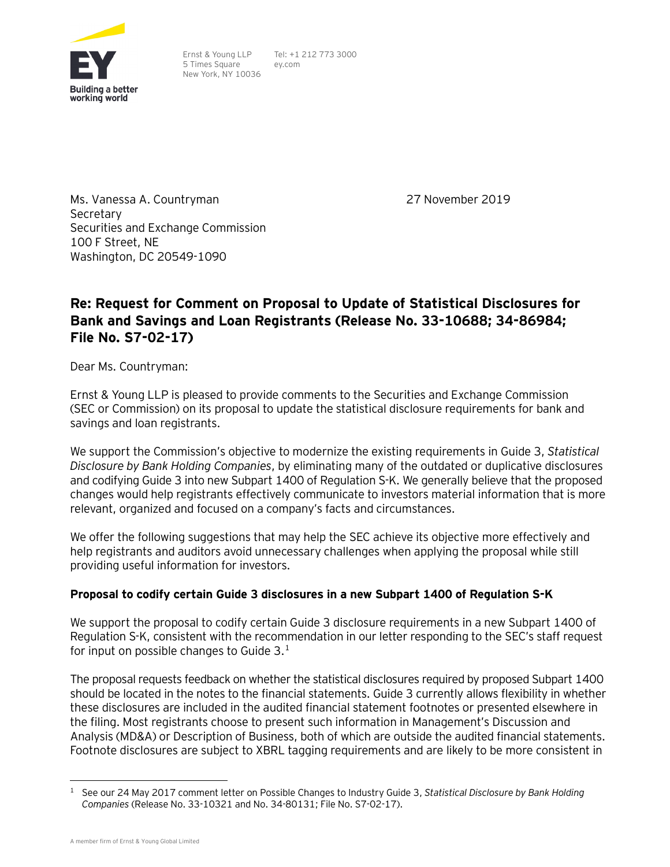

Ernst & Young LLP 5 Times Square New York, NY 10036

Tel: +1 212 773 3000 ey.com

Ms. Vanessa A. Countryman Secretary Securities and Exchange Commission 100 F Street, NE Washington, DC 20549-1090

27 November 2019

# **Re: Request for Comment on Proposal to Update of Statistical Disclosures for Bank and Savings and Loan Registrants (Release No. 33-10688; 34-86984; File No. S7-02-17)**

Dear Ms. Countryman:

Ernst & Young LLP is pleased to provide comments to the Securities and Exchange Commission (SEC or Commission) on its proposal to update the statistical disclosure requirements for bank and savings and loan registrants.

We support the Commission's objective to modernize the existing requirements in Guide 3, *Statistical Disclosure by Bank Holding Companies*, by eliminating many of the outdated or duplicative disclosures and codifying Guide 3 into new Subpart 1400 of Regulation S-K. We generally believe that the proposed changes would help registrants effectively communicate to investors material information that is more relevant, organized and focused on a company's facts and circumstances.

We offer the following suggestions that may help the SEC achieve its objective more effectively and help registrants and auditors avoid unnecessary challenges when applying the proposal while still providing useful information for investors.

# **Proposal to codify certain Guide 3 disclosures in a new Subpart 1400 of Regulation S-K**

We support the proposal to codify certain Guide 3 disclosure requirements in a new Subpart 1400 of Regulation S-K, consistent with the recommendation in our letter responding to the SEC's staff request for input on possible changes to Guide  $3.^1$  $3.^1$ 

The proposal requests feedback on whether the statistical disclosures required by proposed Subpart 1400 should be located in the notes to the financial statements. Guide 3 currently allows flexibility in whether these disclosures are included in the audited financial statement footnotes or presented elsewhere in the filing. Most registrants choose to present such information in Management's Discussion and Analysis (MD&A) or Description of Business, both of which are outside the audited financial statements. Footnote disclosures are subject to XBRL tagging requirements and are likely to be more consistent in

<span id="page-0-0"></span> <sup>1</sup> See our 24 May 2017 comment letter on Possible Changes to Industry Guide 3, *Statistical Disclosure by Bank Holding Companies* (Release No. 33-10321 and No. 34-80131; File No. S7-02-17).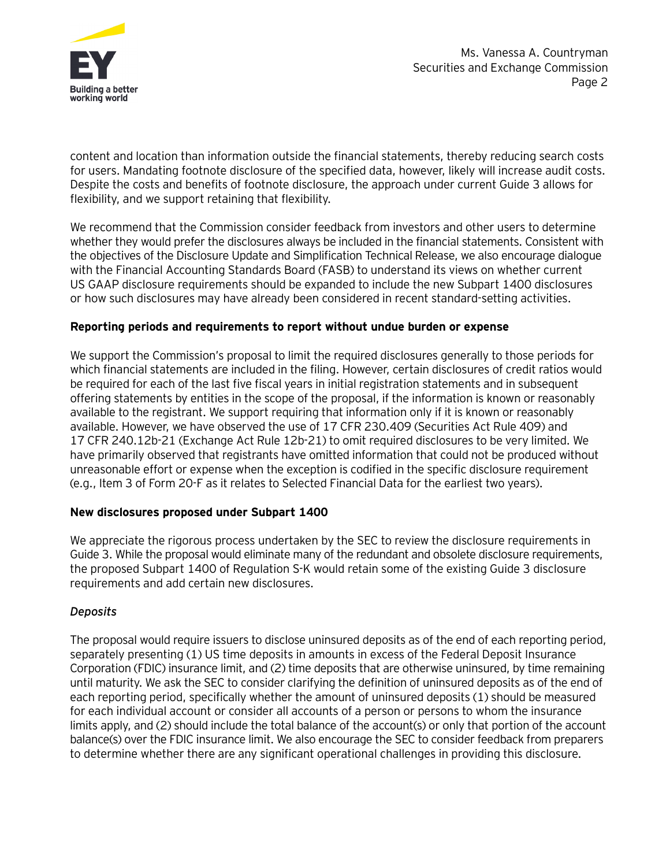

content and location than information outside the financial statements, thereby reducing search costs for users. Mandating footnote disclosure of the specified data, however, likely will increase audit costs. Despite the costs and benefits of footnote disclosure, the approach under current Guide 3 allows for flexibility, and we support retaining that flexibility.

We recommend that the Commission consider feedback from investors and other users to determine whether they would prefer the disclosures always be included in the financial statements. Consistent with the objectives of the Disclosure Update and Simplification Technical Release, we also encourage dialogue with the Financial Accounting Standards Board (FASB) to understand its views on whether current US GAAP disclosure requirements should be expanded to include the new Subpart 1400 disclosures or how such disclosures may have already been considered in recent standard-setting activities.

#### **Reporting periods and requirements to report without undue burden or expense**

We support the Commission's proposal to limit the required disclosures generally to those periods for which financial statements are included in the filing. However, certain disclosures of credit ratios would be required for each of the last five fiscal years in initial registration statements and in subsequent offering statements by entities in the scope of the proposal, if the information is known or reasonably available to the registrant. We support requiring that information only if it is known or reasonably available. However, we have observed the use of 17 CFR 230.409 (Securities Act Rule 409) and 17 CFR 240.12b-21 (Exchange Act Rule 12b-21) to omit required disclosures to be very limited. We have primarily observed that registrants have omitted information that could not be produced without unreasonable effort or expense when the exception is codified in the specific disclosure requirement (e.g., Item 3 of Form 20-F as it relates to Selected Financial Data for the earliest two years).

## **New disclosures proposed under Subpart 1400**

We appreciate the rigorous process undertaken by the SEC to review the disclosure requirements in Guide 3. While the proposal would eliminate many of the redundant and obsolete disclosure requirements, the proposed Subpart 1400 of Regulation S-K would retain some of the existing Guide 3 disclosure requirements and add certain new disclosures.

## *Deposits*

The proposal would require issuers to disclose uninsured deposits as of the end of each reporting period, separately presenting (1) US time deposits in amounts in excess of the Federal Deposit Insurance Corporation (FDIC) insurance limit, and (2) time deposits that are otherwise uninsured, by time remaining until maturity. We ask the SEC to consider clarifying the definition of uninsured deposits as of the end of each reporting period, specifically whether the amount of uninsured deposits (1) should be measured for each individual account or consider all accounts of a person or persons to whom the insurance limits apply, and (2) should include the total balance of the account(s) or only that portion of the account balance(s) over the FDIC insurance limit. We also encourage the SEC to consider feedback from preparers to determine whether there are any significant operational challenges in providing this disclosure.